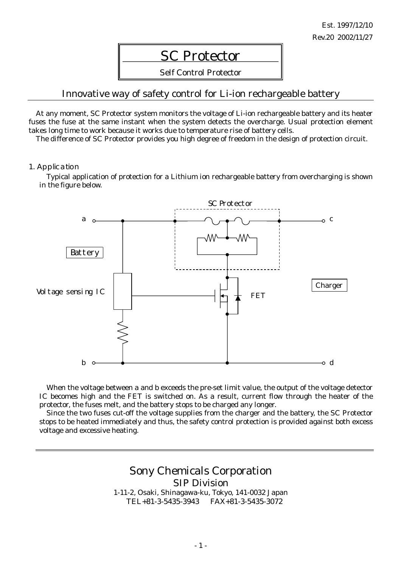# SC Protector

Self Control Protector

### Innovative way of safety control for Li-ion rechargeable battery

At any moment, SC Protector system monitors the voltage of Li-ion rechargeable battery and its heater fuses the fuse at the same instant when the system detects the overcharge. Usual protection element takes long time to work because it works due to temperature rise of battery cells.

The difference of SC Protector provides you high degree of freedom in the design of protection circuit.

#### 1. Application

Typical application of protection for a Lithium ion rechargeable battery from overcharging is shown in the figure below.



When the voltage between a and b exceeds the pre-set limit value, the output of the voltage detector IC becomes high and the FET is switched on. As a result, current flow through the heater of the protector, the fuses melt, and the battery stops to be charged any longer.

Since the two fuses cut-off the voltage supplies from the charger and the battery, the SC Protector stops to be heated immediately and thus, the safety control protection is provided against both excess voltage and excessive heating.

> Sony Chemicals Corporation SIP Division 1-11-2, Osaki, Shinagawa-ku, Tokyo, 141-0032 Japan TEL+81-3-5435-3943 FAX+81-3-5435-3072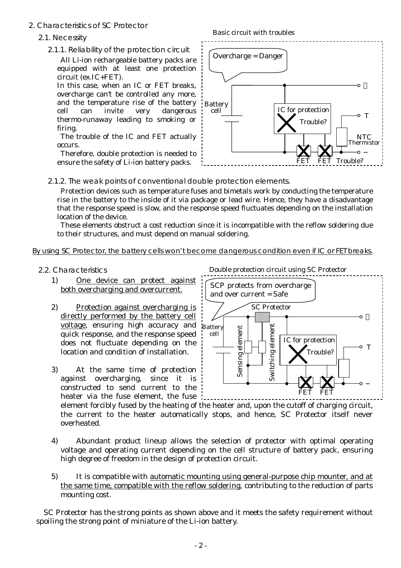- 2. Characteristics of SC Protector
	- 2.1. Necessity
		- 2.1.1. Reliability of the protection circuit

 All Li-ion rechargeable battery packs are equipped with at least one protection circuit (ex.IC+FET).

In this case, when an IC or FET breaks, overcharge can't be controlled any more, and the temperature rise of the battery cell can invite very dangerous thermo-runaway leading to smoking or firing.

 The trouble of the IC and FET actually occurs.

 Therefore, double protection is needed to ensure the safety of Li-ion battery packs.



2.1.2. The weak points of conventional double protection elements.

 Protection devices such as temperature fuses and bimetals work by conducting the temperature rise in the battery to the inside of it via package or lead wire. Hence, they have a disadvantage that the response speed is slow, and the response speed fluctuates depending on the installation location of the device.

 These elements obstruct a cost reduction since it is incompatible with the reflow soldering due to their structures, and must depend on manual soldering.

### By using SC Protector, the battery cells won't become dangerous condition even if IC or FET breaks.

- 2.2. Characteristics
	- 1) One device can protect against both overcharging and overcurrent.
	- 2) Protection against overcharging is directly performed by the battery cell voltage, ensuring high accuracy and quick response, and the response speed does not fluctuate depending on the location and condition of installation.
	- 3) At the same time of protection against overcharging, since it is constructed to send current to the heater via the fuse element, the fuse

Double protection circuit using SC Protector



element forcibly fused by the heating of the heater and, upon the cutoff of charging circuit, the current to the heater automatically stops, and hence, SC Protector itself never overheated.

- 4) Abundant product lineup allows the selection of protector with optimal operating voltage and operating current depending on the cell structure of battery pack, ensuring high degree of freedom in the design of protection circuit.
- 5) It is compatible with automatic mounting using general-purpose chip mounter, and at the same time, compatible with the reflow soldering, contributing to the reduction of parts mounting cost.

SC Protector has the strong points as shown above and it meets the safety requirement without spoiling the strong point of miniature of the Li-ion battery.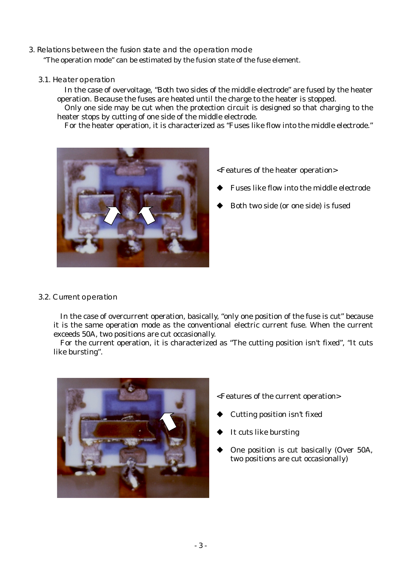### 3. Relations between the fusion state and the operation mode

"The operation mode" can be estimated by the fusion state of the fuse element.

3.1. Heater operation

In the case of overvoltage, "Both two sides of the middle electrode" are fused by the heater operation. Because the fuses are heated until the charge to the heater is stopped.

Only one side may be cut when the protection circuit is designed so that charging to the heater stops by cutting of one side of the middle electrode.

For the heater operation, it is characterized as "Fuses like flow into the middle electrode."



<Features of the heater operation>

- Fuses like flow into the middle electrode
- Both two side (or one side) is fused

#### 3.2. Current operation

In the case of overcurrent operation, basically, "only one position of the fuse is cut" because it is the same operation mode as the conventional electric current fuse. When the current exceeds 50A, two positions are cut occasionally.

For the current operation, it is characterized as "The cutting position isn't fixed", "It cuts like bursting".



<Features of the current operation>

- Cutting position isn't fixed
- It cuts like bursting
- One position is cut basically (Over 50A, two positions are cut occasionally)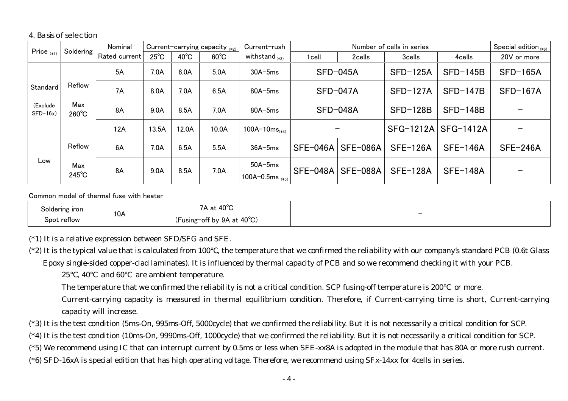4. Basis of selection

| Price $_{(*1)}$        | Soldering              | Nominal<br>Current-carrying capacity $_{(*2)}$ |                | Current-rush   | Number of cells in series |                                   |          |                 | Special edition $_{(*)}$ |                 |                 |
|------------------------|------------------------|------------------------------------------------|----------------|----------------|---------------------------|-----------------------------------|----------|-----------------|--------------------------|-----------------|-----------------|
|                        |                        | Rated current                                  | $25^{\circ}$ C | $40^{\circ}$ C | $60^{\circ}$ C            | withstand $_{(*)}$                | 1cell    | 2cells          | 3cells                   | 4cells          | 20V or more     |
|                        |                        | 5A                                             | 7.0A           | 6.0A           | 5.0A                      | $30A-5ms$                         |          | $SFD-045A$      | $SFD-125A$               | $SFD-145B$      | $SFD-165A$      |
| Standard               | Reflow                 | 7A                                             | 8.0A           | 7.0A           | 6.5A                      | $80A-5ms$                         |          | $SFD-047A$      | $SFD-127A$               | $SFD-147B$      | $SFD-167A$      |
| (Exclude<br>$SFD-16x)$ | Max<br>$260^{\circ}$ C | 8A                                             | 9.0A           | 8.5A           | 7.0A                      | $80A - 5ms$                       |          | $SFD-048A$      | $SFD-128B$               | $SFD-148B$      |                 |
|                        |                        | 12A                                            | 13.5A          | 12.0A          | 10.0A                     | $100A-10ms$ <sub>(*4)</sub>       |          | —               | SFG-1212A                | SFG-1412A       |                 |
|                        | Reflow                 | 6A                                             | 7.0A           | 6.5A           | 5.5A                      | $36A-5ms$                         | SFE-046A | SFE-086A        | $SFE-126A$               | <b>SFE-146A</b> | <b>SFE-246A</b> |
| Low                    | Max<br>$245^{\circ}$ C | 8A                                             | 9.0A           | 8.5A           | 7.0A                      | $50A-5ms$<br>100A-0.5ms $_{(*5)}$ | SFE-048A | <b>SFE-088A</b> | <b>SFE-128A</b>          | <b>SFE-148A</b> |                 |

Common model of thermal fuse with heater

| Soldering iron |     | 40 $^{\circ}$ C<br>~+<br>$\cdots$<br>. al |                          |
|----------------|-----|-------------------------------------------|--------------------------|
| Spot reflow    | 10A | (Fusing-off by $9A$ at $40^{\circ}$ C)    | $\overline{\phantom{0}}$ |

(\*1) It is a relative expression between SFD/SFG and SFE.

(\*2) It is the typical value that is calculated from 100 , the temperature that we confirmed the reliability with our company's standard PCB (0.6t Glass Epoxy single-sided copper-clad laminates). It is influenced by thermal capacity of PCB and so we recommend checking it with your PCB.

25 , 40 and 60 are ambient temperature.

The temperature that we confirmed the reliability is not a critical condition. SCP fusing-off temperature is 200 or more.

 Current-carrying capacity is measured in thermal equilibrium condition. Therefore, if Current-carrying time is short, Current-carrying capacity will increase.

(\*3) It is the test condition (5ms-On, 995ms-Off, 5000cycle) that we confirmed the reliability. But it is not necessarily a critical condition for SCP.

(\*4) It is the test condition (10ms-On, 9990ms-Off, 1000cycle) that we confirmed the reliability. But it is not necessarily a critical condition for SCP.

(\*5) We recommend using IC that can interrupt current by 0.5ms or less when SFE-xx8A is adopted in the module that has 80A or more rush current.

(\*6) SFD-16xA is special edition that has high operating voltage. Therefore, we recommend using SFx-14xx for 4cells in series.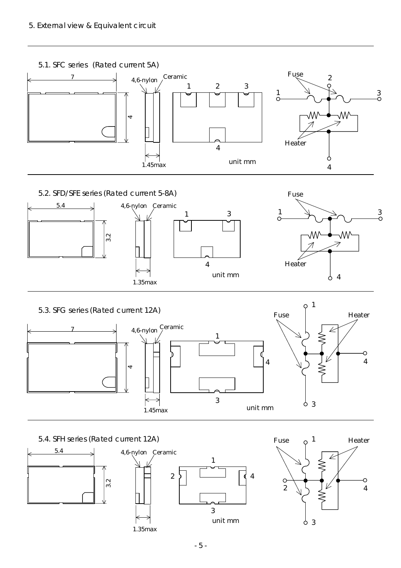

4

unit mm

1.35max

4

9

Heater





### - 5 -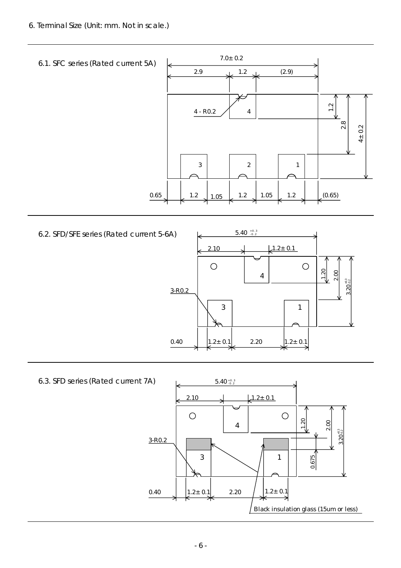6. Terminal Size (Unit: mm. Not in scale.)



6.3. SFD series (Rated current 7A)

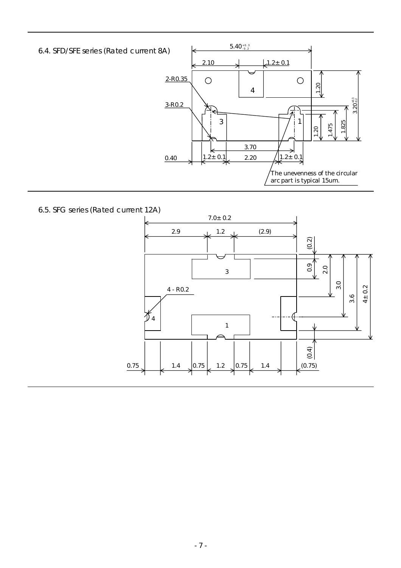6.4. SFD/SFE series (Rated current 8A)



6.5. SFG series (Rated current 12A)

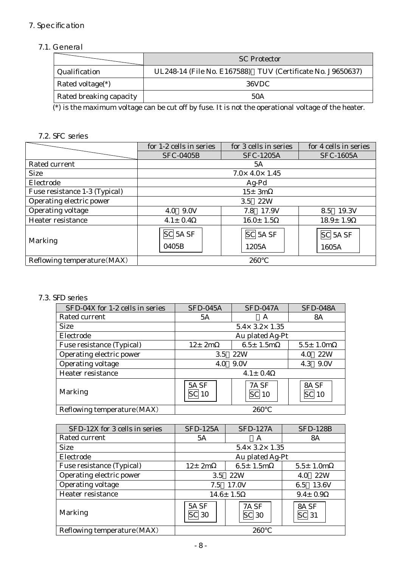# 7. Specification

### 7.1. General

|                         | <b>SC Protector</b>                                        |  |  |
|-------------------------|------------------------------------------------------------|--|--|
| Qualification           | UL248-14 (File No. E167588) TUV (Certificate No. J9650637) |  |  |
| Rated voltage $(*)$     | 36VDC                                                      |  |  |
| Rated breaking capacity | 50A                                                        |  |  |

(\*) is the maximum voltage can be cut off by fuse. It is not the operational voltage of the heater.

### 7.2. SFC series

|                               | for 1-2 cells in series                                                                                                                | for 3 cells in series        | for 4 cells in series |  |  |
|-------------------------------|----------------------------------------------------------------------------------------------------------------------------------------|------------------------------|-----------------------|--|--|
|                               | <b>SFC-0405B</b>                                                                                                                       | <b>SFC-1205A</b>             | <b>SFC-1605A</b>      |  |  |
| Rated current                 |                                                                                                                                        | 5A                           |                       |  |  |
| <b>Size</b>                   |                                                                                                                                        | $7.0 \times 4.0 \times 1.45$ |                       |  |  |
| Electrode                     |                                                                                                                                        | $Ag-Pd$                      |                       |  |  |
| Fuse resistance 1-3 (Typical) | $15 \pm 3m$                                                                                                                            |                              |                       |  |  |
| Operating electric power      | 3.5 22W                                                                                                                                |                              |                       |  |  |
| Operating voltage             | 4.0 9.0V                                                                                                                               | 7.8 17.9V                    | 8.5 19.3V             |  |  |
| Heater resistance             | $4.1 \pm 0.4$                                                                                                                          | $16.0 \pm 1.5$               | $18.9 \pm 1.9$        |  |  |
| Marking                       | $\overline{SC}$ 5A $\overline{SF}$<br>$\overline{SC}$ 5A $\overline{SF}$<br>SC <sub>5</sub> A <sub>SF</sub><br>0405B<br>1205A<br>1605A |                              |                       |  |  |
| Reflowing temperature (MAX)   |                                                                                                                                        | 260                          |                       |  |  |

### 7.3. SFD series

| SFD-04X for 1-2 cells in series | SFD-045A                  | <b>SFD-047A</b>                  | <b>SFD-048A</b> |  |
|---------------------------------|---------------------------|----------------------------------|-----------------|--|
| Rated current                   | 5A                        | A                                | <b>8A</b>       |  |
| <b>Size</b>                     |                           | $5.4 \times 3.2 \times 1.35$     |                 |  |
| Electrode                       |                           | Au plated Ag-Pt                  |                 |  |
| Fuse resistance (Typical)       | $12 \pm 2m$               | $6.5 \pm 1.5m$                   | $5.5 \pm 1.0m$  |  |
| Operating electric power        | 22W<br>3.5                |                                  | 22W<br>4.0      |  |
| <b>Operating voltage</b>        | 9.0V<br>4.0               |                                  | 9.0V<br>4.3     |  |
| Heater resistance               | $4.1 \pm 0.4$             |                                  |                 |  |
| Marking                         | 5A <sub>SF</sub><br>SCI10 | 7A <sub>SF</sub><br><b>SC</b> 10 | 8A SF<br>-10    |  |
| Reflowing temperature (MAX)     |                           | 260                              |                 |  |

| SFD-12X for 3 cells in series | <b>SFD-125A</b>                                                                     | <b>SFD-127A</b>              | <b>SFD-128B</b> |
|-------------------------------|-------------------------------------------------------------------------------------|------------------------------|-----------------|
| Rated current                 | 5A                                                                                  | A                            | <b>8A</b>       |
| <b>Size</b>                   |                                                                                     | $5.4 \times 3.2 \times 1.35$ |                 |
| Electrode                     |                                                                                     | Au plated Ag-Pt              |                 |
| Fuse resistance (Typical)     | $12 \pm 2m$                                                                         | $6.5 \pm 1.5m$               | $5.5 \pm 1.0m$  |
| Operating electric power      | 3.5                                                                                 | 22W<br>4.0                   |                 |
| <b>Operating voltage</b>      | 17.0V<br>7.5                                                                        |                              | 13.6V<br>6.5    |
| Heater resistance             | $14.6 \pm 1.5$                                                                      |                              | $9.4 \pm 0.9$   |
| Marking                       | 5A <sub>SF</sub><br>7A <sub>SF</sub><br>8A SF<br>$ SC $ 31<br>SC 30<br><b>SC</b> 30 |                              |                 |
| Reflowing temperature (MAX)   |                                                                                     | 260                          |                 |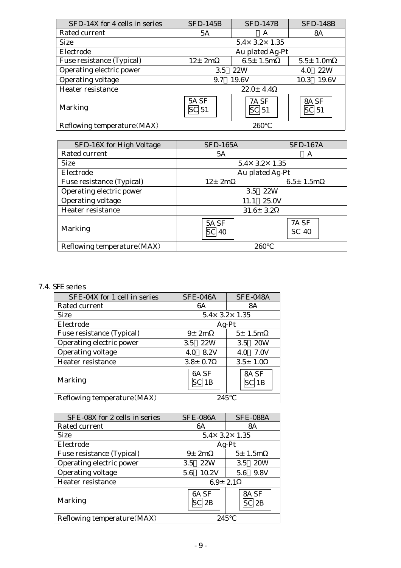| SFD-14X for 4 cells in series | <b>SFD-145B</b>                                                                    | $SFD-147B$                   | <b>SFD-148B</b> |  |
|-------------------------------|------------------------------------------------------------------------------------|------------------------------|-----------------|--|
| Rated current                 | 5A                                                                                 | A                            | 8A              |  |
| <b>Size</b>                   |                                                                                    | $5.4 \times 3.2 \times 1.35$ |                 |  |
| Electrode                     |                                                                                    | Au plated Ag-Pt              |                 |  |
| Fuse resistance (Typical)     | $12 + 2m$                                                                          | $6.5 \pm 1.5m$               | $5.5 \pm 1.0m$  |  |
| Operating electric power      | 3.5                                                                                | 22W<br>4.0                   |                 |  |
| Operating voltage             | 19.6V<br>9.7                                                                       | 19.6V<br>10.3                |                 |  |
| Heater resistance             | $22.0 \pm 4.4$                                                                     |                              |                 |  |
| Marking                       | 5A <sub>SF</sub><br>7A SF<br>8A SF<br>$ SC $ 51<br>SC <sub>1</sub> 51<br>$ SC $ 51 |                              |                 |  |
| Reflowing temperature (MAX)   |                                                                                    | 260                          |                 |  |

| SFD-16X for High Voltage    | <b>SFD-165A</b>                                               | <b>SFD-167A</b>              |  |
|-----------------------------|---------------------------------------------------------------|------------------------------|--|
| Rated current               | 5A                                                            | A                            |  |
| <b>Size</b>                 |                                                               | $5.4 \times 3.2 \times 1.35$ |  |
| Electrode                   |                                                               | Au plated Ag-Pt              |  |
| Fuse resistance (Typical)   | $12 \pm 2m$<br>$6.5 \pm 1.5$ m                                |                              |  |
| Operating electric power    | 22W<br>3.5                                                    |                              |  |
| Operating voltage           | 25.0V<br>11.1                                                 |                              |  |
| Heater resistance           | $31.6 \pm 3.2$                                                |                              |  |
| <b>Marking</b>              | 7A <sub>SF</sub><br>5A <sub>SF</sub><br><b>SC</b> 40<br>SC 40 |                              |  |
| Reflowing temperature (MAX) | 260                                                           |                              |  |

# 7.4. SFE series

| SFE-04X for 1 cell in series | SFE-046A                     | <b>SFE-048A</b>   |  |
|------------------------------|------------------------------|-------------------|--|
| Rated current                | 6A                           | 8A                |  |
| <b>Size</b>                  | $5.4 \times 3.2 \times 1.35$ |                   |  |
| Electrode                    |                              | $Ag-Pt$           |  |
| Fuse resistance (Typical)    | $9\pm 2m$                    | $5\pm 1.5m$       |  |
| Operating electric power     | 22W<br>$3.5^{\circ}$         | <b>20W</b><br>3.5 |  |
| Operating voltage            | 8.2V<br>4.0                  | 7.0V<br>4.0       |  |
| Heater resistance            | $3.8 \pm 0.7$                | $3.5 \pm 1.0$     |  |
| Marking                      | 6A SF<br>1B                  | 8A SF<br>1B       |  |
| Reflowing temperature (MAX)  | 245                          |                   |  |

| SFE-08X for 2 cells in series | <b>SFE-086A</b>                                                        | <b>SFE-088A</b>   |  |  |  |
|-------------------------------|------------------------------------------------------------------------|-------------------|--|--|--|
| Rated current                 | 6A                                                                     | 8A                |  |  |  |
| <b>Size</b>                   | $5.4 \times 3.2 \times 1.35$                                           |                   |  |  |  |
| Electrode                     |                                                                        | $Ag-Pt$           |  |  |  |
| Fuse resistance (Typical)     | $9\pm 2m$                                                              | $5 \pm 1.5m$      |  |  |  |
| Operating electric power      | 22W<br>3.5                                                             | <b>20W</b><br>3.5 |  |  |  |
| Operating voltage             | 10.2V<br>5.6                                                           | 9.8V<br>5.6       |  |  |  |
| Heater resistance             | $6.9 \pm 2.1$                                                          |                   |  |  |  |
| Marking                       | 6A SF<br>8A SF<br>$\mathop{\mathsf{Cl}} 2\mathop{\mathsf{B}}$<br>SC 2B |                   |  |  |  |
| Reflowing temperature (MAX)   | 245                                                                    |                   |  |  |  |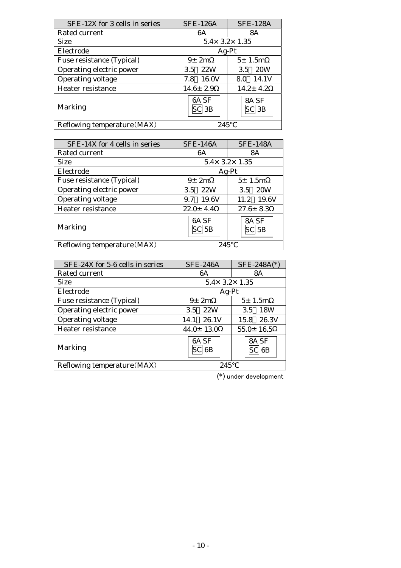| SFE-12X for 3 cells in series | <b>SFE-126A</b> | <b>SFE-128A</b>              |  |  |
|-------------------------------|-----------------|------------------------------|--|--|
| Rated current                 | 6A              | 8A                           |  |  |
| <b>Size</b>                   |                 | $5.4 \times 3.2 \times 1.35$ |  |  |
| Electrode                     |                 | $Ag-Pt$                      |  |  |
| Fuse resistance (Typical)     | $9\pm 2m$       | $5 \pm 1.5m$                 |  |  |
| Operating electric power      | 22W<br>3.5      | <b>20W</b><br>3.5            |  |  |
| Operating voltage             | 16.0V<br>7.8    | 14.1V<br>8.0                 |  |  |
| Heater resistance             | $14.6 \pm 2.9$  | $14.2 \pm 4.2$               |  |  |
| <b>Marking</b>                | 6A SF<br>' 3B   | 8A SF<br>$\mathbb{C}$ 3B     |  |  |
| Reflowing temperature (MAX)   | 245             |                              |  |  |

| SFE-14X for 4 cells in series | <b>SFE-146A</b>              | <b>SFE-148A</b>   |  |
|-------------------------------|------------------------------|-------------------|--|
| Rated current                 | 6A                           | 8A                |  |
| <b>Size</b>                   | $5.4 \times 3.2 \times 1.35$ |                   |  |
| Electrode                     |                              | $Ag-Pt$           |  |
| Fuse resistance (Typical)     | $9\pm 2m$                    | $5 \pm 1.5m$      |  |
| Operating electric power      | 22W<br>3.5                   | <b>20W</b><br>3.5 |  |
| Operating voltage             | 19.6V<br>9.7                 | 19.6V<br>11.2     |  |
| Heater resistance             | $22.0 \pm 4.4$               | $27.6 \pm 8.3$    |  |
| Marking                       | 6A <sub>SF</sub><br>$SC$ 5B  | 8A SF<br>$SC$ 5B  |  |
| Reflowing temperature (MAX)   | 245                          |                   |  |

| SFE-24X for 5-6 cells in series | $SFE-246A$                   | $SFE-248A(*)$      |
|---------------------------------|------------------------------|--------------------|
| Rated current                   | 6A                           | 8A                 |
| <b>Size</b>                     | $5.4 \times 3.2 \times 1.35$ |                    |
| Electrode                       | $Ag-Pt$                      |                    |
| Fuse resistance (Typical)       | $9\pm 2m$                    | 5±1.5m             |
| Operating electric power        | 22W<br>3.5                   | 18W<br>3.5         |
| Operating voltage               | 26.1V<br>14.1                | 26.3V<br>15.8      |
| Heater resistance               | $44.0 \pm 13.0$              | $55.0 \pm 16.5$    |
| Marking                         | 6A <sub>SF</sub><br>SCI 6B   | 8A SF<br>$SC$ $6B$ |
| Reflowing temperature (MAX)     | 245                          |                    |

(\*) under development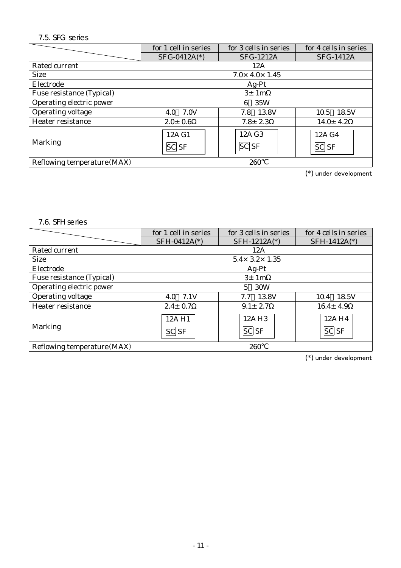## 7.5. SFG series

|                             | for 1 cell in series         | for 3 cells in series | for 4 cells in series  |  |
|-----------------------------|------------------------------|-----------------------|------------------------|--|
|                             | SFG-0412A(*)                 | <b>SFG-1212A</b>      | <b>SFG-1412A</b>       |  |
| Rated current               | 12A                          |                       |                        |  |
| <b>Size</b>                 | $7.0 \times 4.0 \times 1.45$ |                       |                        |  |
| Electrode                   | $Ag-Pt$                      |                       |                        |  |
| Fuse resistance (Typical)   | 3±1m                         |                       |                        |  |
| Operating electric power    | 35W<br>6                     |                       |                        |  |
| Operating voltage           | 7.0V<br>4.0                  | 13.8V<br>7.8          | 18.5V<br>10.5          |  |
| Heater resistance           | $2.0 \pm 0.6$                | $7.8 \pm 2.3$         | $14.0 \pm 4.2$         |  |
| Marking                     | 12A G1<br>$SC$ $SF$          | 12A G3<br>$ SC $ $SF$ | 12A G4<br><b>SC</b> SF |  |
| Reflowing temperature (MAX) | 260                          |                       |                        |  |

(\*) under development

#### 7.6. SFH series

|                             | for 1 cell in series         | for 3 cells in series             | for 4 cells in series |  |
|-----------------------------|------------------------------|-----------------------------------|-----------------------|--|
|                             | SFH-0412A(*)                 | SFH-1212A(*)                      | SFH-1412A(*)          |  |
| Rated current               | 12A                          |                                   |                       |  |
| <b>Size</b>                 | $5.4 \times 3.2 \times 1.35$ |                                   |                       |  |
| Electrode                   | $Ag-Pt$                      |                                   |                       |  |
| Fuse resistance (Typical)   | 3±1m                         |                                   |                       |  |
| Operating electric power    | 30W<br>5.                    |                                   |                       |  |
| Operating voltage           | 4.0 7.1V                     | 13.8V<br>7.7                      | 18.5V<br>10.4         |  |
| Heater resistance           | $2.4 \pm 0.7$                | $9.1 \pm 2.7$                     | $16.4 \pm 4.9$        |  |
| Marking                     | 12AH1<br>$SC$ $SF$           | 12A H <sub>3</sub><br>$ SC $ $SF$ | 12A H4<br>$SC $ $SF$  |  |
| Reflowing temperature (MAX) | 260                          |                                   |                       |  |

(\*) under development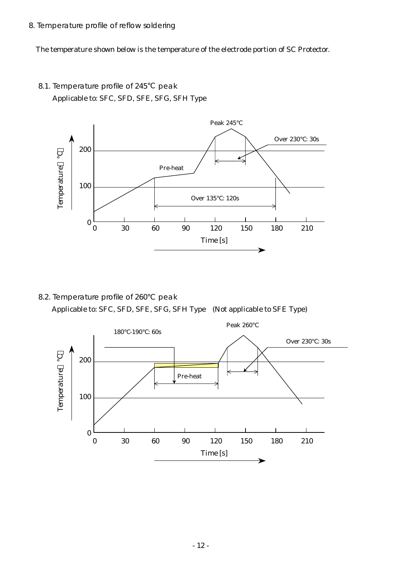8. Temperature profile of reflow soldering

The temperature shown below is the temperature of the electrode portion of SC Protector.

8.1. Temperature profile of 245 peak Applicable to: SFC, SFD, SFE, SFG, SFH Type



8.2. Temperature profile of 260 peak Applicable to: SFC, SFD, SFE, SFG, SFH Type (Not applicable to SFE Type)

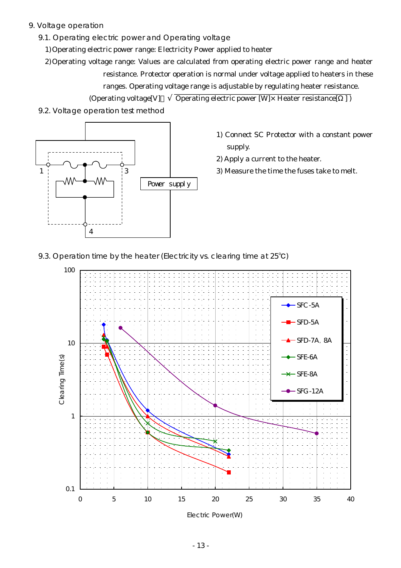9. Voltage operation

1

- 9.1. Operating electric power and Operating voltage
	- 1) Operating electric power range: Electricity Power applied to heater
	- 2) Operating voltage range: Values are calculated from operating electric power range and heater resistance. Protector operation is normal under voltage applied to heaters in these ranges. Operating voltage range is adjustable by regulating heater resistance.

(Operating voltage[V]  $\qquad \overline{\text{Operating electric power [W]} \times \text{Heater resistance}[\quad] )}$ 



3

4

- 1) Connect SC Protector with a constant power supply.
- 2) Apply a current to the heater.
- 3) Measure the time the fuses take to melt.

9.3. Operation time by the heater (Electricity vs. clearing time at 25<sup>°</sup>C)

Power supply

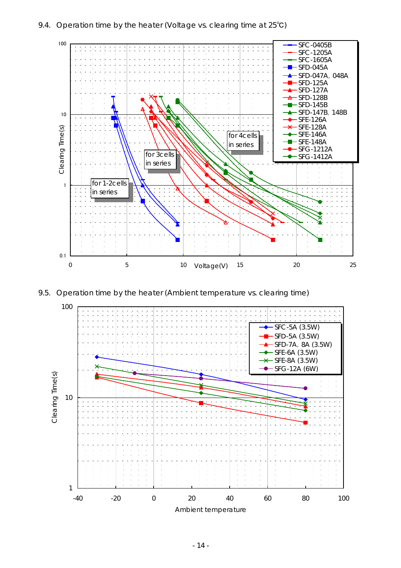#### 9.4. Operation time by the heater (Voltage vs. clearing time at 25℃)





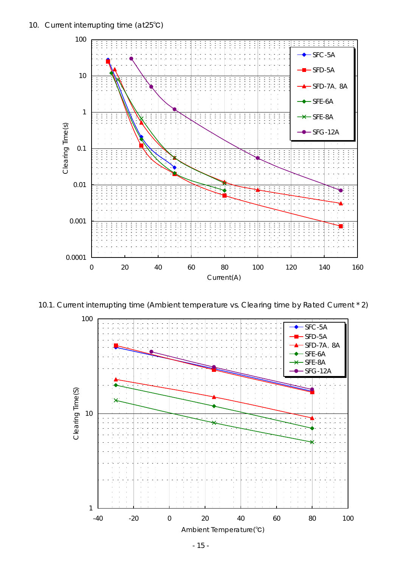#### 10. Current interrupting time (at25℃)



10.1. Current interrupting time (Ambient temperature vs. Clearing time by Rated Current \* 2)